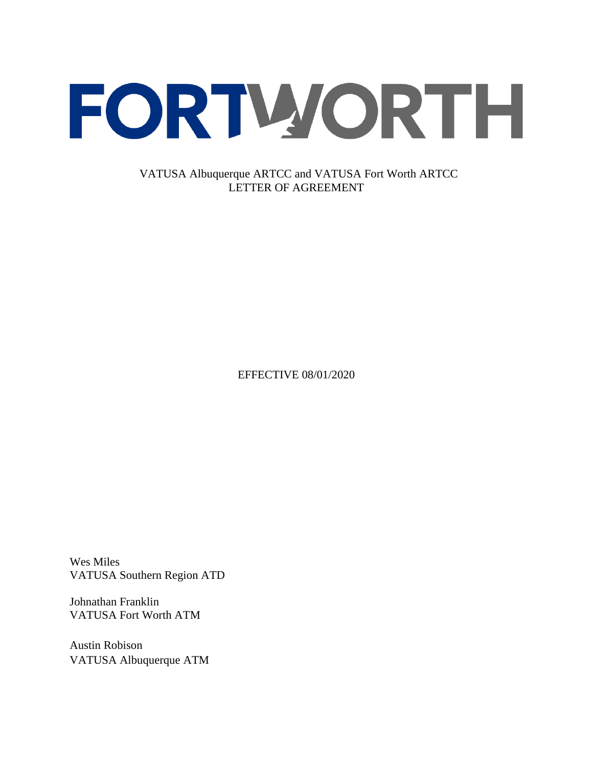

VATUSA Albuquerque ARTCC and VATUSA Fort Worth ARTCC LETTER OF AGREEMENT

EFFECTIVE 08/01/2020

Wes Miles VATUSA Southern Region ATD

Johnathan Franklin VATUSA Fort Worth ATM

Austin Robison VATUSA Albuquerque ATM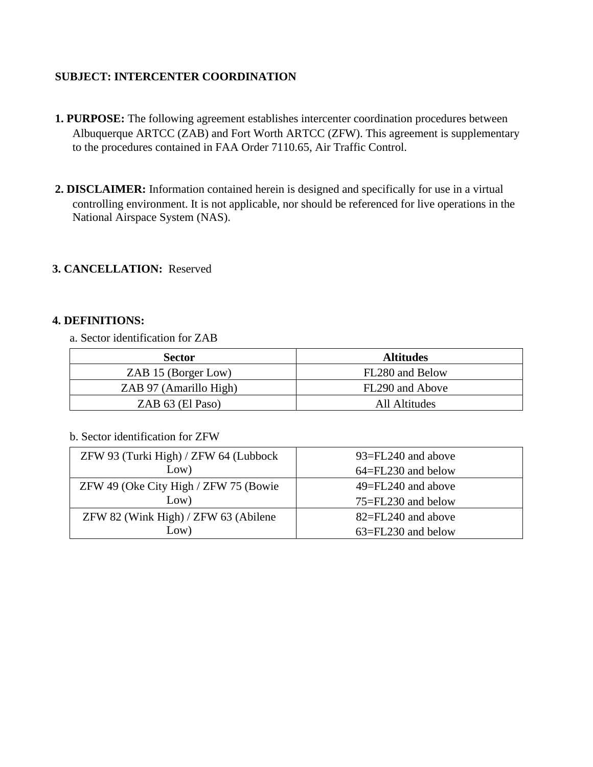# **SUBJECT: INTERCENTER COORDINATION**

- **1. PURPOSE:** The following agreement establishes intercenter coordination procedures between Albuquerque ARTCC (ZAB) and Fort Worth ARTCC (ZFW). This agreement is supplementary to the procedures contained in FAA Order 7110.65, Air Traffic Control.
- **2. DISCLAIMER:** Information contained herein is designed and specifically for use in a virtual controlling environment. It is not applicable, nor should be referenced for live operations in the National Airspace System (NAS).

# **3. CANCELLATION:** Reserved

### **4. DEFINITIONS:**

a. Sector identification for ZAB

| <b>Sector</b>          | <b>Altitudes</b> |
|------------------------|------------------|
| ZAB 15 (Borger Low)    | FL280 and Below  |
| ZAB 97 (Amarillo High) | FL290 and Above  |
| ZAB 63 (El Paso)       | All Altitudes    |

#### b. Sector identification for ZFW

| ZFW 93 (Turki High) / ZFW 64 (Lubbock | 93=FL240 and above     |
|---------------------------------------|------------------------|
| Low)                                  | $64 = FL230$ and below |
| ZFW 49 (Oke City High / ZFW 75 (Bowie | $49 = FL240$ and above |
| Low)                                  | $75 = FL230$ and below |
| ZFW 82 (Wink High) / ZFW 63 (Abilene  | 82=FL240 and above     |
| Low)                                  | 63=FL230 and below     |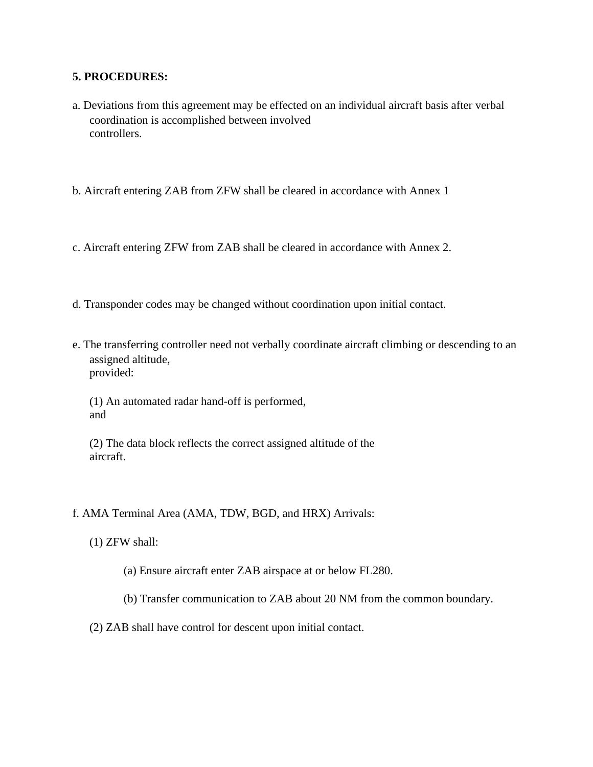#### **5. PROCEDURES:**

- a. Deviations from this agreement may be effected on an individual aircraft basis after verbal coordination is accomplished between involved controllers.
- b. Aircraft entering ZAB from ZFW shall be cleared in accordance with Annex 1
- c. Aircraft entering ZFW from ZAB shall be cleared in accordance with Annex 2.
- d. Transponder codes may be changed without coordination upon initial contact.
- e. The transferring controller need not verbally coordinate aircraft climbing or descending to an assigned altitude, provided:

(1) An automated radar hand-off is performed, and

(2) The data block reflects the correct assigned altitude of the aircraft.

#### f. AMA Terminal Area (AMA, TDW, BGD, and HRX) Arrivals:

- (1) ZFW shall:
	- (a) Ensure aircraft enter ZAB airspace at or below FL280.
	- (b) Transfer communication to ZAB about 20 NM from the common boundary.
- (2) ZAB shall have control for descent upon initial contact.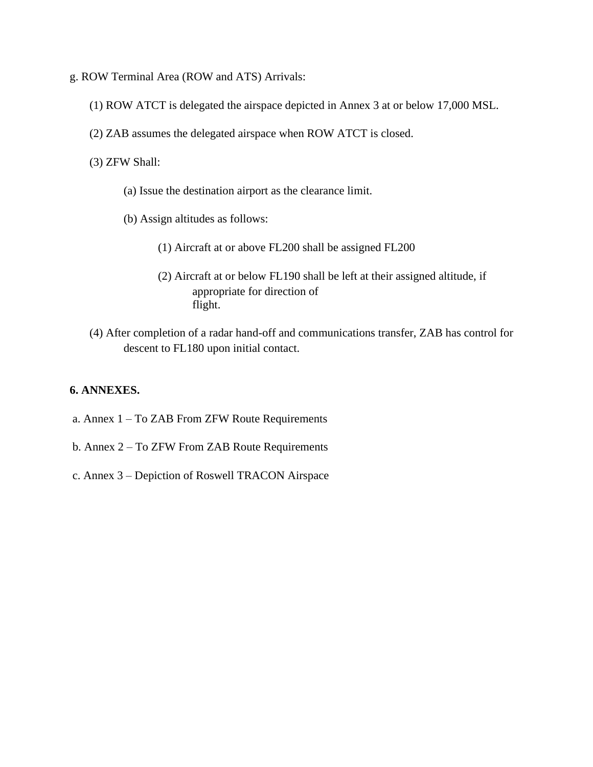- g. ROW Terminal Area (ROW and ATS) Arrivals:
	- (1) ROW ATCT is delegated the airspace depicted in Annex 3 at or below 17,000 MSL.
	- (2) ZAB assumes the delegated airspace when ROW ATCT is closed.
	- (3) ZFW Shall:
		- (a) Issue the destination airport as the clearance limit.
		- (b) Assign altitudes as follows:
			- (1) Aircraft at or above FL200 shall be assigned FL200
			- (2) Aircraft at or below FL190 shall be left at their assigned altitude, if appropriate for direction of flight.
	- (4) After completion of a radar hand-off and communications transfer, ZAB has control for descent to FL180 upon initial contact.

#### **6. ANNEXES.**

- a. Annex 1 To ZAB From ZFW Route Requirements
- b. Annex 2 To ZFW From ZAB Route Requirements
- c. Annex 3 Depiction of Roswell TRACON Airspace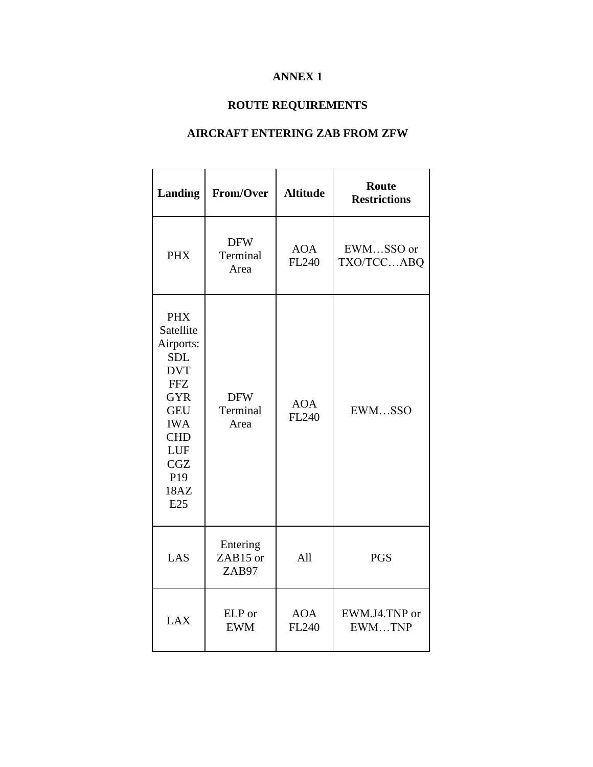# **ANNEX 1**

# **ROUTE REQUIREMENTS**

# **AIRCRAFT ENTERING ZAB FROM ZFW**

| Landing                                                                                                                                                                                       | From/Over                      | <b>Altitude</b>     | <b>Route</b><br><b>Restrictions</b> |
|-----------------------------------------------------------------------------------------------------------------------------------------------------------------------------------------------|--------------------------------|---------------------|-------------------------------------|
| <b>PHX</b>                                                                                                                                                                                    | <b>DFW</b><br>Terminal<br>Area | <b>AOA</b><br>FL240 | EWMSSO or<br>TXO/TCCABQ             |
| <b>PHX</b><br>Satellite<br>Airports:<br><b>SDL</b><br><b>DVT</b><br><b>FFZ</b><br><b>GYR</b><br><b>GEU</b><br><b>IWA</b><br><b>CHD</b><br>LUF<br><b>CGZ</b><br>P <sub>19</sub><br>18AZ<br>E25 | <b>DFW</b><br>Terminal<br>Area | <b>AOA</b><br>FL240 | EWMSSO                              |
| LAS                                                                                                                                                                                           | Entering<br>ZAB15 or<br>ZAB97  | All                 | <b>PGS</b>                          |
| <b>LAX</b>                                                                                                                                                                                    | ELP or<br><b>EWM</b>           | <b>AOA</b><br>FL240 | EWM.J4.TNP or<br>EWMTNP             |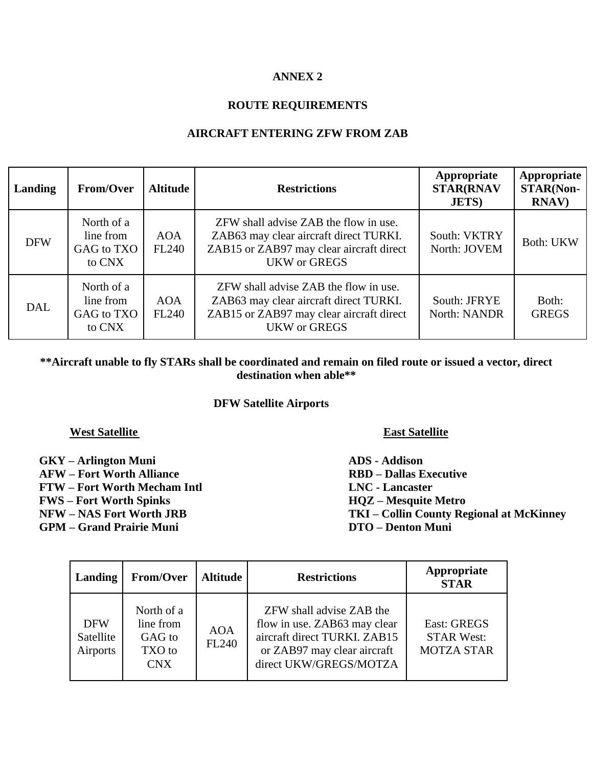### **ANNEX 2**

# **ROUTE REQUIREMENTS**

### **AIRCRAFT ENTERING ZFW FROM ZAB**

| Landing    | From/Over                                       | <b>Altitude</b>            | <b>Restrictions</b>                                                                                                                                | Appropriate<br><b>STAR(RNAV</b><br><b>JETS</b> ) | Appropriate<br><b>STAR(Non-</b><br><b>RNAV</b> ) |
|------------|-------------------------------------------------|----------------------------|----------------------------------------------------------------------------------------------------------------------------------------------------|--------------------------------------------------|--------------------------------------------------|
| <b>DFW</b> | North of a<br>line from<br>GAG to TXO<br>to CNX | <b>AOA</b><br><b>FL240</b> | ZFW shall advise ZAB the flow in use.<br>ZAB63 may clear aircraft direct TURKI.<br>ZAB15 or ZAB97 may clear aircraft direct<br><b>UKW</b> or GREGS | South: VKTRY<br>North: JOVEM                     | <b>Both: UKW</b>                                 |
| DAL        | North of a<br>line from<br>GAG to TXO<br>to CNX | <b>AOA</b><br>FL240        | ZFW shall advise ZAB the flow in use.<br>ZAB63 may clear aircraft direct TURKI.<br>ZAB15 or ZAB97 may clear aircraft direct<br><b>UKW</b> or GREGS | South: JFRYE<br>North: NANDR                     | Both:<br><b>GREGS</b>                            |

# **\*\*Aircraft unable to fly STARs shall be coordinated and remain on filed route or issued a vector, direct destination when able\*\***

#### **DFW Satellite Airports**

#### **West Satellite East Satellite**

- **GKY – Arlington Muni ADS - Addison AFW – Fort Worth Alliance RBD – Dallas Executive FTW – Fort Worth Mecham Intl LNC - Lancaster FWS – Fort Worth Spinks HQZ – Mesquite Metro**
- 
- **GPM – Grand Prairie Muni DTO – Denton Muni**

**NFW – NAS Fort Worth JRB TKI – Collin County Regional at McKinney**

| Landing                             | From/Over                                                 | <b>Altitude</b>     | <b>Restrictions</b>                                                                                                                               | Appropriate<br><b>STAR</b>                                   |
|-------------------------------------|-----------------------------------------------------------|---------------------|---------------------------------------------------------------------------------------------------------------------------------------------------|--------------------------------------------------------------|
| <b>DFW</b><br>Satellite<br>Airports | North of a<br>line from<br>GAG to<br>TXO to<br><b>CNX</b> | <b>AOA</b><br>FL240 | ZFW shall advise ZAB the<br>flow in use. ZAB63 may clear<br>aircraft direct TURKI. ZAB15<br>or ZAB97 may clear aircraft<br>direct UKW/GREGS/MOTZA | <b>East: GREGS</b><br><b>STAR West:</b><br><b>MOTZA STAR</b> |